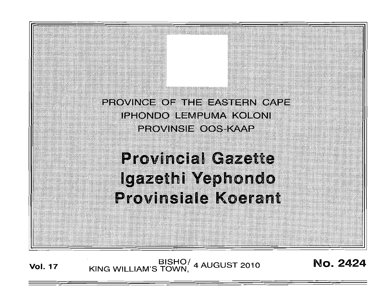PROVINCE OF THE EASTERN CAPE **IPHONDO LEMPUMA KOLONI PROVINSIE OOS-KAAP** 

# **Provincial Gazette** Igazethi Yephondo **Provinsiale Koerant**

BISHO/ 4 AUGUST 2010<br>KING WILLIAM'S TOWN, 4 AUGUST 2010 **Vol. 17** 

No. 2424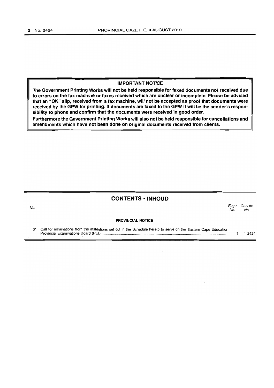## IMPORTANT NOTICE

The Government Printing Works will not be held responsible for faxed documents not received due to errors on the fax machine or faxes received which are unclear or incomplete. Please be advised that an "OK" slip, received from a fax machine, will not be accepted as proof that documents were received by the GPW for printing. If documents are faxed to the GPW it will be the sender's responsibility to phone and confirm that the documents were received in good order.

Furthermore the Government Printing Works will also not be held responsible for cancellations and amendments which have not been done on original documents received from clients.

### **CONTENTS • INHOUD**

No. Page Gazette No. No.

#### PROVINCIAL NOTICE

 $\sim$   $\sim$ 

31 Call for nominations from the institutions set out in the Schedule hereto to serve on the Eastern Cape Education Provincial Examinations Board (PEB) .......................................................................................................................... . 3 2424

 $\mathcal{A}$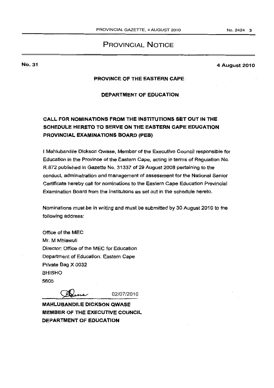## PROVINCIAL NOTICE

## No. 31

#### 4 August 2010

## PROVINCE OF THE EASTERN CAPE·

## OEPARTMENT OF EDUCATION

# CAll FOR NOMINATIONS FROM THE INSTITUTIONS SET OUT IN THE SCHEOULE HERETO TO SERVE ON THE EASTERN CAPE EDUCATION PROVINCIAL EXAMINATIONS BOARD (PES)

I Mahlubandile Dickson Qwase, Member of the Executive Council responsible for Education in the Province of the Eastern Cape, acting in terms of Regulation No. RB72 published in Gazette No. 31337 of 29 August 2008 pertaining to the conduct, administration and management of assessment for the National Senior Certificate hereby call for nominations to the Eastern Cape Education Provincial Examination Board from the Institutions as set out in the schedule hereto.

Nominations must be in writing and must be submitted by 30 August 2010 to the following address:

Office of the MEC Mr. M Mhlawuli Director: Office of the MEC for Education Department of Education: Eastern Cape Private Bag X 0032 BHISHO 5605

Wiene

02/07/2010

MAHLUBANDILE DICKSON QWASE MEMBER OF THE EXECUTiVe COUNCIL DEPARTMENT OF EDUCATION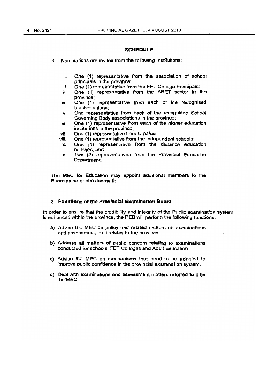#### **SCHEDULE**

1. Nominations are invited from the following Institutions:

- i. One (1) representative from the association of school principals in the province;
- II. One (1) representative from the FET COllege Principals;
- iii. One (1) representative from the ABET sector In the province;
- iv. One (1) representative from each of the recognised teacher unions;
- \/. One representative from each of the recognised School Governing Body associations in the province;
- vi. One (1) representative from each of the higher education institutions in the province;
- vii. One (1) representative from Umalusi;<br>viii. One (1) representative from the indep
- One (1) representative from the independent schools:
- ix. One (1) representative from the distance education colleges; and
- $x$ . Two (2) representatives from the Provincial Education Department.

The MEC for Education may appoint additional members to the Board as he or she deems fit.

#### 2. Functions of the Provincial Examination Board:

In order to ensure that the credibility and integrity of the Public examination system is enhanced within the provinee, the PEB will perform the following functions:

- a) Advise the MEC on policy and related matters on examinations and assessment, as it relates to the province.
- b) Address all matters of public concern relating to examinations conducted for schools, FET Colleges and Adult Education.
- c) Advise the MEC on mechanisms that need to be adopted to Improve public confidence in the provincial examination system.
- d) Deal with examinations and assessment matters referred to it by the MEC.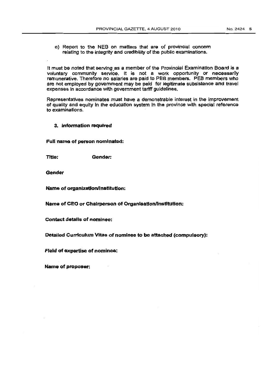e) Report to the NEB on matters that are of provincial concem -relating to the integrity and credibility of the public examinations.

It must be noted that serving as a member of the Provincial Examination Board is a voluntary community service. It is not a work opportunity or necessarily remunerative. Therefore no salaries are paid to PEB members. PEB members who are not employed by government may be paid for legitimate subsistence and travel expenses In accordance with government tariff guidelines.

Representatives nominates must have a demonstrable interest in the improvement of quality and equity In the education system In the province with special reference to examinations.

#### 3. jnfonnation required

Full name of person nominated:

Title: Gender:

Gender

Name of organization/institution:

Name of CEO or ChaIrperson of Organisation/InstitUtion!

Contact details of nominee:

Detailed Curriculum Vitae of nominee to be attached (compulsory):

FIeld of expertise of nominee:

Name of proposer: